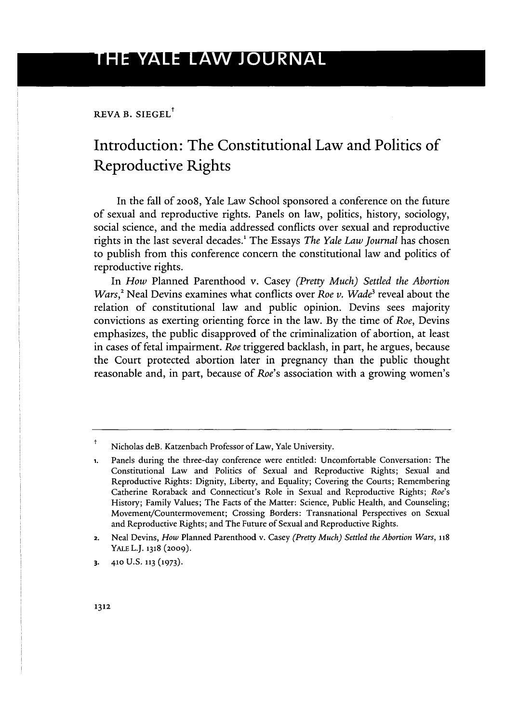REVA B. SIEGEL<sup>+</sup>

## Introduction: The Constitutional Law and Politics of Reproductive Rights

In the fall of 2008, Yale Law School sponsored a conference on the future of sexual and reproductive rights. Panels on law, politics, history, sociology, social science, and the media addressed conflicts over sexual and reproductive rights in the last several decades.' The Essays *The Yale Law Journal* has chosen to publish from this conference concern the constitutional law and politics of reproductive rights.

In *How* Planned Parenthood v. Casey *(Pretty Much) Settled the Abortion Wars*,<sup>2</sup> Neal Devins examines what conflicts over *Roe v. Wade*<sup>3</sup> reveal about the relation of constitutional law and public opinion. Devins sees majority convictions as exerting orienting force in the law. By the time of *Roe,* Devins emphasizes, the public disapproved of the criminalization of abortion, at least in cases of fetal impairment. *Roe* triggered backlash, in part, he argues, because the Court protected abortion later in pregnancy than the public thought reasonable and, in part, because of *Roe's* association with a growing women's

**3. 410** U.S. **113 (1973).**

Nicholas deB. Katzenbach Professor of Law, Yale University.

**<sup>1.</sup>** Panels during the three-day conference were entitled: Uncomfortable Conversation: The Constitutional Law and Politics of Sexual and Reproductive Rights; Sexual and Reproductive Rights: Dignity, Liberty, and Equality; Covering the Courts; Remembering Catherine Roraback and Connecticut's Role in Sexual and Reproductive Rights; *Roe's* History; Family Values; The Facts of the Matter: Science, Public Health, and Counseling; Movement/Countermovement; Crossing Borders: Transnational Perspectives on Sexual and Reproductive Rights; and The Future of Sexual and Reproductive Rights.

<sup>2.</sup> Neal Devins, *How* Planned Parenthood v. Casey *(Pretty Much) Settled the Abortion Wars, <sup>118</sup>* YALE L.J. **1318 (2009).**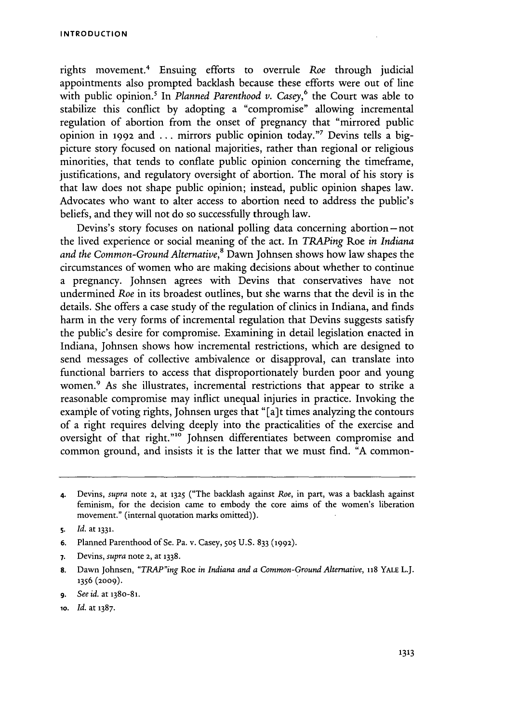rights movement.4 Ensuing efforts to overrule *Roe* through judicial appointments also prompted backlash because these efforts were out of line with public opinion.<sup>5</sup> In *Planned Parenthood v. Casey*,<sup>6</sup> the Court was able to stabilize this conflict by adopting a "compromise" allowing incremental regulation of abortion from the onset of pregnancy that "mirrored public opinion in 1992 and ... mirrors public opinion today."' Devins tells a bigpicture story focused on national majorities, rather than regional or religious minorities, that tends to conflate public opinion concerning the timeframe, justifications, and regulatory oversight of abortion. The moral of his story is that law does not shape public opinion; instead, public opinion shapes law. Advocates who want to alter access to abortion need to address the public's beliefs, and they will not do so successfully through law.

Devins's story focuses on national polling data concerning abortion-not the lived experience or social meaning of the act. In *TRAPing* Roe *in Indiana and the Common-Ground Alternative,8* Dawn Johnsen shows how law shapes the circumstances of women who are making decisions about whether to continue a pregnancy. Johnsen agrees with Devins that conservatives have not undermined *Roe* in its broadest outlines, but she warns that the devil is in the details. She offers a case study of the regulation of clinics in Indiana, and finds harm in the very forms of incremental regulation that Devins suggests satisfy the public's desire for compromise. Examining in detail legislation enacted in Indiana, Johnsen shows how incremental restrictions, which are designed to send messages of collective ambivalence or disapproval, can translate into functional barriers to access that disproportionately burden poor and young women.<sup>9</sup> As she illustrates, incremental restrictions that appear to strike a reasonable compromise may inflict unequal injuries in practice. Invoking the example of voting rights, Johnsen urges that "[a]t times analyzing the contours of a right requires delving deeply into the practicalities of the exercise and oversight of that right."1° Johnsen differentiates between compromise and common ground, and insists it is the latter that we must find. "A common-

- **6.** Planned Parenthood of Se. Pa. v. Casey, **505** U.S. 833 (1992).
- **7.** Devins, *supra* note 2, at **1338.**
- **8.** Dawn Johnsen, *"TRAP"ing* Roe *in Indiana and a Common-Ground Alternative,* **118** YALE L.J. **1356** (2009).
- **9.** *See id.* at 138o-81.
- **10.** *Id.* at **1387.**

<sup>4.</sup> Devins, *supra* note 2, at **1325** ("The backlash against *Roe,* in part, was a backlash against feminism, for the decision came to embody the core aims of the women's liberation movement." (internal quotation marks omitted)).

s. *Id.* at **1331.**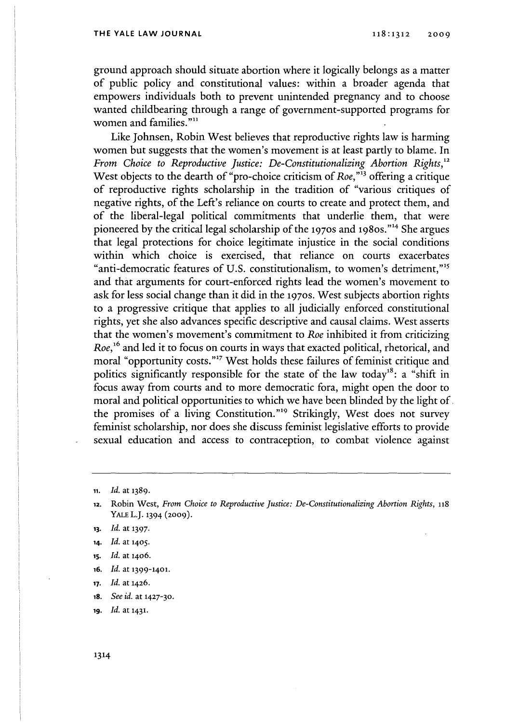## **THE YALE LAW JOURNAL**

ground approach should situate abortion where it logically belongs as a matter of public policy and constitutional values: within a broader agenda that empowers individuals both to prevent unintended pregnancy and to choose wanted childbearing through a range of government-supported programs for women and families."<sup>11</sup>

Like Johnsen, Robin West believes that reproductive rights law is harming women but suggests that the women's movement is at least partly to blame. In *From Choice to Reproductive Justice: De-Constitutionalizing Abortion Rights,"* West objects to the dearth of "pro-choice criticism of *Roe,"'3* offering a critique of reproductive rights scholarship in the tradition of "various critiques of negative rights, of the Left's reliance on courts to create and protect them, and of the liberal-legal political commitments that underlie them, that were pioneered by the critical legal scholarship of the 1970s and 1980s."<sup>14</sup> She argues that legal protections for choice legitimate injustice in the social conditions within which choice is exercised, that reliance on courts exacerbates "anti-democratic features of U.S. constitutionalism, to women's detriment,""s and that arguments for court-enforced rights lead the women's movement to ask for less social change than it did in the **1970s.** West subjects abortion rights to a progressive critique that applies to all judicially enforced constitutional rights, yet she also advances specific descriptive and causal claims. West asserts that the women's movement's commitment to *Roe* inhibited it from criticizing *Roe, <sup>6</sup>*and led it to focus on courts in ways that exacted political, rhetorical, and moral "opportunity costs."<sup>17</sup> West holds these failures of feminist critique and politics significantly responsible for the state of the law today<sup>18</sup>: a "shift in focus away from courts and to more democratic fora, might open the door to moral and political opportunities to which we have been blinded by the light of. the promises of a living Constitution."<sup>19</sup> Strikingly, West does not survey feminist scholarship, nor does she discuss feminist legislative efforts to provide sexual education and access to contraception, to combat violence against

- **is.** *Id.* at **1406.**
- **16.** *Id.* at **1399-1401.**
- **17.** *Id.* at 1426.
- **18.** *See id.* at 1427-30.

**19.** *Id.* at **1431.**

**<sup>11.</sup>** *Id.* at **1389.**

**<sup>12.</sup>** Robin West, *From Choice to Reproductive Justice: De-Constitutionalizing Abortion Rights,* **118** YALE **L.J.** 1394 **(2009).**

**<sup>13.</sup>** *Id.* at **1397.**

**<sup>14.</sup>** *Id.* at **1405.**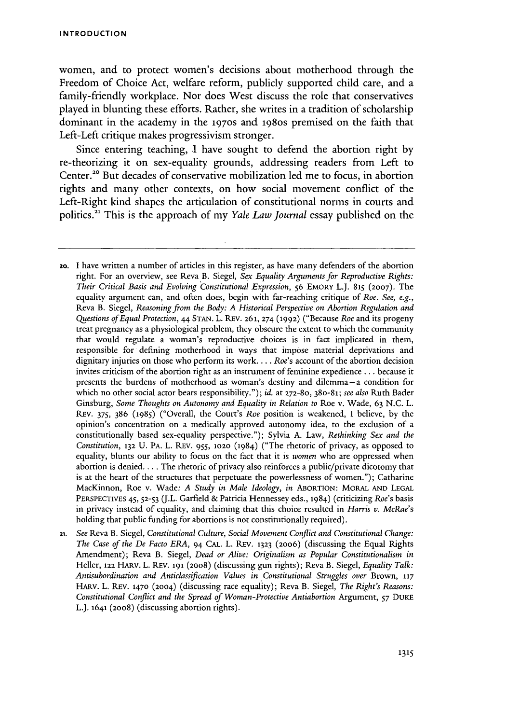women, and to protect women's decisions about motherhood through the Freedom of Choice Act, welfare reform, publicly supported child care, and a family-friendly workplace. Nor does West discuss the role that conservatives played in blunting these efforts. Rather, she writes in a tradition of scholarship dominant in the academy in the 1970s and 198os premised on the faith that Left-Left critique makes progressivism stronger.

Since entering teaching, I have sought to defend the abortion right by re-theorizing it on sex-equality grounds, addressing readers from Left to Center.<sup>20</sup> But decades of conservative mobilization led me to focus, in abortion rights and many other contexts, on how social movement conflict of the Left-Right kind shapes the articulation of constitutional norms in courts and politics. 1 This is the approach of my *Yale Law Journal* essay published on the

- 2o. I have written a number of articles in this register, as have many defenders of the abortion right. For an overview, see Reva B. Siegel, *Sex Equality Arguments for Reproductive Rights: Their Critical Basis and Evolving ;Constitutional Expression,* 56 **EMORY** L.J. **815 (2007).** The equality argument can, and often does, begin with far-reaching critique of *Roe. See, e.g.,* Reva B. Siegel, *Reasoning from the Body: A Historical Perspective on Abortion Regulation and Questions of Equal Protection, 44* STAN. L. REV. 261, **274** (1992) ("Because *Roe* and its progeny treat pregnancy as a physiological problem, they obscure the extent to which the community that would regulate a woman's reproductive choices is in fact implicated in them, responsible for defining motherhood in ways that impose material deprivations and dignitary injuries on those who perform its work.... *Roe's* account of the abortion decision invites criticism of the abortion right as an instrument of feminine expedience **.** .. because it presents the burdens of motherhood as woman's destiny and dilemma-a condition for which no other social actor bears responsibility."); *id.* at **272-80,** 38o-81; *see also* Ruth Bader Ginsburg, *Some Thoughts on Autonomy and Equality in Relation to* Roe v. Wade, 63 N.C. L. REv. 375, 386 (1985) ("Overall, the Court's *Roe* position is weakened, I believe, by the opinion's concentration on a medically approved autonomy idea, to the exclusion of a constitutionally based sex-equality perspective."); Sylvia A. Law, *Rethinking Sex and the Constitution,* **132** U. PA. L. REV. 955, **1020** (1984) ("The rhetoric of privacy, as opposed to equality, blunts our ability to focus on the fact that it is *women* who are oppressed when abortion is denied.... The rhetoric of privacy also reinforces a public/private dicotomy that is at the heart of the structures that perpetuate the powerlessness of women."); Catharine MacKinnon, Roe v. Wade: *A Study in Male Ideology, in* ABORTION: MORAL **AND LEGAL** PERSPECTIVES 45, **52-53** (J.L. Garfield & Patricia Hennessey eds., 1984) (criticizing *Roe's* basis in privacy instead of equality, and claiming that this choice resulted in *Harris v. McRae's* holding that public funding for abortions is not constitutionally required).
- 21. *See* Reva B. Siegel, *Constitutional Culture, Social Movement Conflict and Constitutional Change: The Case of the De Facto ERA,* 94 CAL. L. REv. **1323** (2006) (discussing the Equal Rights Amendment); Reva B. Siegel, *Dead or Alive: Originalism as Popular Constitutionalism in* Heller, **122 HARv.** L. REv. **191** (2008) (discussing gun rights); Reva B. Siegel, *Equality Talk: Antisubordination and Anticlassification Values in Constitutional Struggles over* Brown, **<sup>117</sup>** HARV. L. REv. **1470** (2004) (discussing race equality); Reva B. Siegel, *The Right's Reasons: Constitutional Conflict and the Spread of Woman-Protective Antiabortion* Argument, **57** DUKE L.J. **1641** (2008) (discussing abortion rights).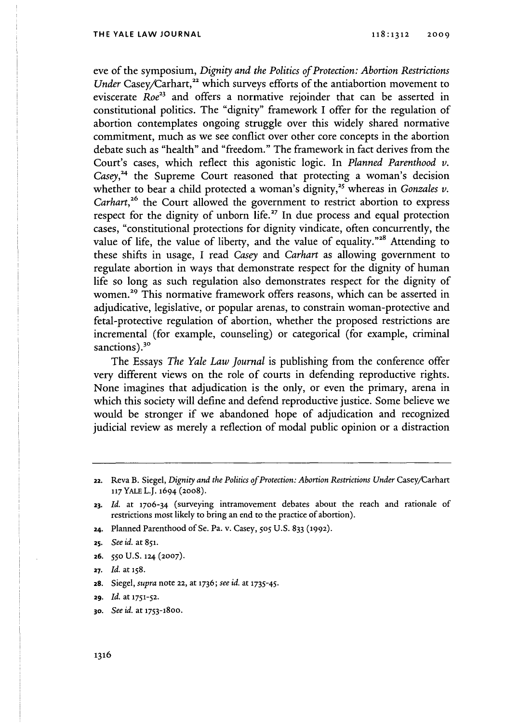eve of the symposium, *Dignity and the Politics of Protection: Abortion Restrictions Under* Casey/Carhart,<sup>22</sup> which surveys efforts of the antiabortion movement to eviscerate *Roe<sup>23</sup>* and offers a normative rejoinder that can be asserted in constitutional politics. The "dignity" framework I offer for the regulation of abortion contemplates ongoing struggle over this widely shared normative commitment, much as we see conflict over other core concepts in the abortion debate such as "health" and "freedom." The framework in fact derives from the Court's cases, which reflect this agonistic logic. In *Planned Parenthood v.* Casey,<sup>24</sup> the Supreme Court reasoned that protecting a woman's decision whether to bear a child protected a woman's dignity,<sup>25</sup> whereas in *Gonzales v*. *Carhart*,<sup>26</sup> the Court allowed the government to restrict abortion to express respect for the dignity of unborn life.<sup> $27$ </sup> In due process and equal protection cases, "constitutional protections for dignity vindicate, often concurrently, the value of life, the value of liberty, and the value of equality."<sup>28</sup> Attending to these shifts in usage, I read *Casey* and *Carhart* as allowing government to regulate abortion in ways that demonstrate respect for the dignity of human life so long as such regulation also demonstrates respect for the dignity of women.<sup>29</sup> This normative framework offers reasons, which can be asserted in adjudicative, legislative, or popular arenas, to constrain woman-protective and fetal-protective regulation of abortion, whether the proposed restrictions are incremental (for example, counseling) or categorical (for example, criminal sanctions).<sup>30</sup>

The Essays *The Yale Law Journal* is publishing from the conference offer very different views on the role of courts in defending reproductive rights. None imagines that adjudication is the only, or even the primary, arena in which this society will define and defend reproductive justice. Some believe we would be stronger if we abandoned hope of adjudication and recognized judicial review as merely a reflection of modal public opinion or a distraction

- **24.** Planned Parenthood of Se. Pa. v. Casey, **505** U.S. 833 (1992).
- **25.** *See id.* at **851.**
- **26.** *550* U.S. 124 (2007).
- **27.** *Id.* at 158.
- **a8.** Siegel, *supra* note 22, at **1736;** *see id.* at **1735-45.**
- **29.** *Id.* at **1751-52.**
- **30.** *See id.* at 1753-18oo.

**<sup>22.</sup>** Reva B. Siegel, *Dignity and the Politics of Protection: Abortion Restrictions Under* Casey/Carhart **117** YALE L.J. 1694 (2008).

*<sup>23.</sup> Id.* at 17o6-34 (surveying intramovement debates about the reach and rationale of restrictions most likely to bring an end to the practice of abortion).